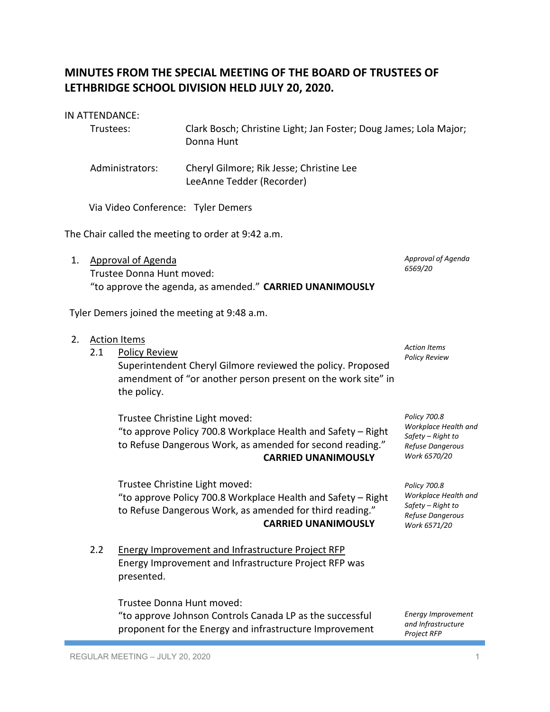## **MINUTES FROM THE SPECIAL MEETING OF THE BOARD OF TRUSTEES OF LETHBRIDGE SCHOOL DIVISION HELD JULY 20, 2020.**

|  |  |  | IN ATTENDANCE: |  |
|--|--|--|----------------|--|
|--|--|--|----------------|--|

| Trustees:       | Clark Bosch; Christine Light; Jan Foster; Doug James; Lola Major;<br>Donna Hunt |
|-----------------|---------------------------------------------------------------------------------|
| Administrators: | Cheryl Gilmore; Rik Jesse; Christine Lee<br>LeeAnne Tedder (Recorder)           |

Via Video Conference: Tyler Demers

The Chair called the meeting to order at 9:42 a.m.

1. Approval of Agenda Trustee Donna Hunt moved: "to approve the agenda, as amended." **CARRIED UNANIMOUSLY**

| Tyler Demers joined the meeting at 9:48 a.m. |     |                                                                                                                                                                                           |                                                                                               |  |  |  |
|----------------------------------------------|-----|-------------------------------------------------------------------------------------------------------------------------------------------------------------------------------------------|-----------------------------------------------------------------------------------------------|--|--|--|
| 2.                                           | 2.1 | <b>Action Items</b><br><b>Policy Review</b><br>Superintendent Cheryl Gilmore reviewed the policy. Proposed<br>amendment of "or another person present on the work site" in<br>the policy. | <b>Action Items</b><br><b>Policy Review</b>                                                   |  |  |  |
|                                              |     | Trustee Christine Light moved:<br>"to approve Policy 700.8 Workplace Health and Safety - Right<br>to Refuse Dangerous Work, as amended for second reading."<br><b>CARRIED UNANIMOUSLY</b> | Policy 700.8<br>Workplace Health and<br>Safety - Right to<br>Refuse Dangerous<br>Work 6570/20 |  |  |  |
|                                              |     | Trustee Christine Light moved:<br>"to approve Policy 700.8 Workplace Health and Safety - Right<br>to Refuse Dangerous Work, as amended for third reading."<br><b>CARRIED UNANIMOUSLY</b>  | Policy 700.8<br>Workplace Health and<br>Safety – Right to<br>Refuse Dangerous<br>Work 6571/20 |  |  |  |
|                                              | 2.2 | Energy Improvement and Infrastructure Project RFP<br>Energy Improvement and Infrastructure Project RFP was<br>presented.                                                                  |                                                                                               |  |  |  |
|                                              |     | Trustee Donna Hunt moved:<br>"to approve Johnson Controls Canada LP as the successful<br>proponent for the Energy and infrastructure Improvement                                          | <b>Energy Improvement</b><br>and Infrastructure<br><b>Project RFP</b>                         |  |  |  |

*Approval of Agenda*

*6569/20*